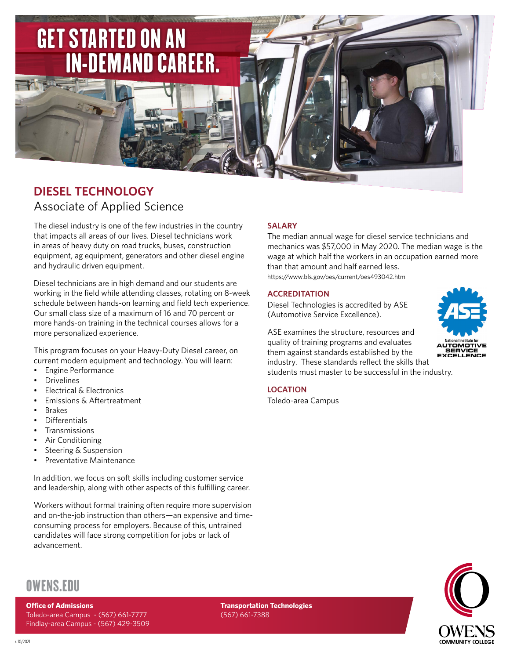

# **DIESEL TECHNOLOGY** Associate of Applied Science

The diesel industry is one of the few industries in the country that impacts all areas of our lives. Diesel technicians work in areas of heavy duty on road trucks, buses, construction equipment, ag equipment, generators and other diesel engine and hydraulic driven equipment.

Diesel technicians are in high demand and our students are working in the field while attending classes, rotating on 8-week schedule between hands-on learning and field tech experience. Our small class size of a maximum of 16 and 70 percent or more hands-on training in the technical courses allows for a more personalized experience.

This program focuses on your Heavy-Duty Diesel career, on current modern equipment and technology. You will learn:

- Engine Performance
- **Drivelines**
- Electrical & Electronics
- Emissions & Aftertreatment
- Brakes
- Differentials
- Transmissions
- Air Conditioning
- Steering & Suspension
- Preventative Maintenance

In addition, we focus on soft skills including customer service and leadership, along with other aspects of this fulfilling career.

Workers without formal training often require more supervision and on-the-job instruction than others—an expensive and timeconsuming process for employers. Because of this, untrained candidates will face strong competition for jobs or lack of advancement.

# **SALARY**

The median annual wage for diesel service technicians and mechanics was \$57,000 in May 2020. The median wage is the wage at which half the workers in an occupation earned more than that amount and half earned less.

https://www.bls.gov/oes/current/oes493042.htm

## **ACCREDITATION**

Diesel Technologies is accredited by ASE (Automotive Service Excellence).

ASE examines the structure, resources and quality of training programs and evaluates them against standards established by the industry. These standards reflect the skills that students must master to be successful in the industry.



# **LOCATION**

Toledo-area Campus



# OWENS.EDU

## **Office of Admissions**

Toledo-area Campus - (567) 661-7777 Findlay-area Campus - (567) 429-3509 **Transportation Technologies** (567) 661-7388